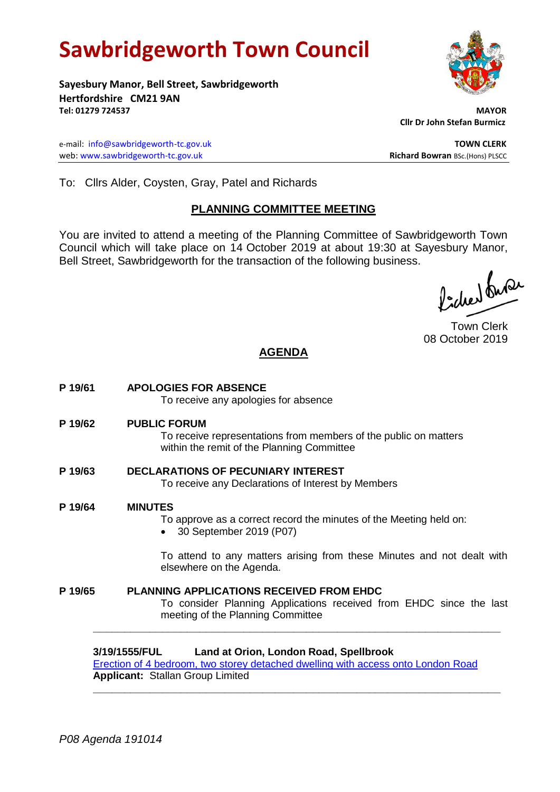# **Sawbridgeworth Town Council**

**Sayesbury Manor, Bell Street, Sawbridgeworth Hertfordshire CM21 9AN Tel: 01279 724537 MAYOR**

e-mail: [info@sawbridgeworth-tc.gov.uk](mailto:info@sawbridgeworth-tc.gov.uk) **TOWN CLERK** web: www.sawbridgeworth-tc.gov.uk<br> **Richard Bowran** BSc.(Hons) PLSCC

 **Cllr Dr John Stefan Burmicz**

To: Cllrs Alder, Coysten, Gray, Patel and Richards

# **PLANNING COMMITTEE MEETING**

You are invited to attend a meeting of the Planning Committee of Sawbridgeworth Town Council which will take place on 14 October 2019 at about 19:30 at Sayesbury Manor, Bell Street, Sawbridgeworth for the transaction of the following business.

Picked fuse

Town Clerk 08 October 2019

# **AGENDA**

**P 19/61 APOLOGIES FOR ABSENCE** To receive any apologies for absence **P 19/62 PUBLIC FORUM** To receive representations from members of the public on matters within the remit of the Planning Committee **P 19/63 DECLARATIONS OF PECUNIARY INTEREST** To receive any Declarations of Interest by Members **P 19/64 MINUTES** To approve as a correct record the minutes of the Meeting held on: 30 September 2019 (P07) To attend to any matters arising from these Minutes and not dealt with elsewhere on the Agenda. **P 19/65 PLANNING APPLICATIONS RECEIVED FROM EHDC** To consider Planning Applications received from EHDC since the last meeting of the Planning Committee

**3/19/1555/FUL Land at Orion, London Road, Spellbrook** [Erection of 4 bedroom, two storey detached dwelling with access onto London Road](https://publicaccess.eastherts.gov.uk/online-applications/applicationDetails.do?activeTab=documents&keyVal=PV3OF1GLKEC00) **Applicant:** Stallan Group Limited

**\_\_\_\_\_\_\_\_\_\_\_\_\_\_\_\_\_\_\_\_\_\_\_\_\_\_\_\_\_\_\_\_\_\_\_\_\_\_\_\_\_\_\_\_\_\_\_\_\_\_\_\_\_\_\_\_\_\_\_\_\_\_\_\_\_**

**\_\_\_\_\_\_\_\_\_\_\_\_\_\_\_\_\_\_\_\_\_\_\_\_\_\_\_\_\_\_\_\_\_\_\_\_\_\_\_\_\_\_\_\_\_\_\_\_\_\_\_\_\_\_\_\_\_\_\_\_\_\_\_\_\_**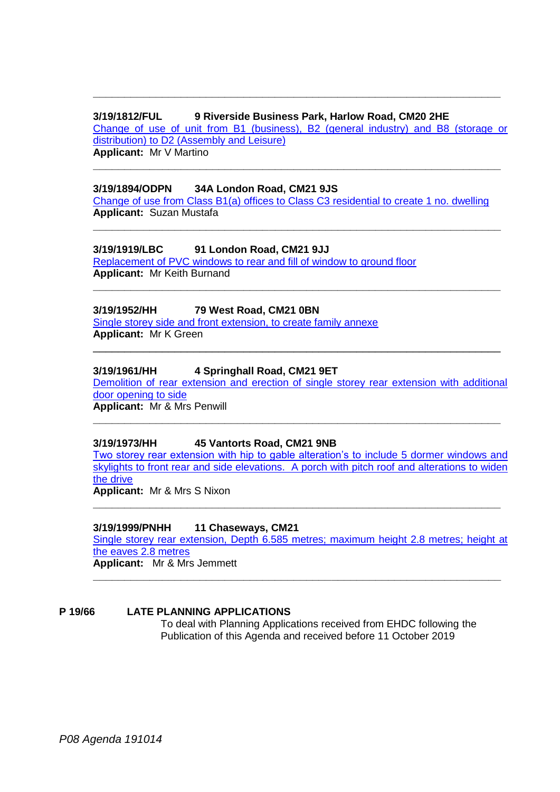#### **3/19/1812/FUL 9 Riverside Business Park, Harlow Road, CM20 2HE**

[Change of use of unit from B1 \(business\), B2 \(general industry\) and B8 \(storage or](https://publicaccess.eastherts.gov.uk/online-applications/applicationDetails.do?activeTab=documents&keyVal=PXAX66GL00X00)  [distribution\) to D2 \(Assembly and Leisure\)](https://publicaccess.eastherts.gov.uk/online-applications/applicationDetails.do?activeTab=documents&keyVal=PXAX66GL00X00) **Applicant:** Mr V Martino

**\_\_\_\_\_\_\_\_\_\_\_\_\_\_\_\_\_\_\_\_\_\_\_\_\_\_\_\_\_\_\_\_\_\_\_\_\_\_\_\_\_\_\_\_\_\_\_\_\_\_\_\_\_\_\_\_\_\_\_\_\_\_\_\_\_**

**\_\_\_\_\_\_\_\_\_\_\_\_\_\_\_\_\_\_\_\_\_\_\_\_\_\_\_\_\_\_\_\_\_\_\_\_\_\_\_\_\_\_\_\_\_\_\_\_\_\_\_\_\_\_\_\_\_\_\_\_\_\_\_\_\_**

#### **3/19/1894/ODPN 34A London Road, CM21 9JS**

[Change of use from Class B1\(a\) offices to Class C3 residential to create 1 no. dwelling](https://publicaccess.eastherts.gov.uk/online-applications/applicationDetails.do?activeTab=documents&keyVal=PXZB1JGL00T00) **Applicant:** Suzan Mustafa

**\_\_\_\_\_\_\_\_\_\_\_\_\_\_\_\_\_\_\_\_\_\_\_\_\_\_\_\_\_\_\_\_\_\_\_\_\_\_\_\_\_\_\_\_\_\_\_\_\_\_\_\_\_\_\_\_\_\_\_\_\_\_\_\_\_**

**\_\_\_\_\_\_\_\_\_\_\_\_\_\_\_\_\_\_\_\_\_\_\_\_\_\_\_\_\_\_\_\_\_\_\_\_\_\_\_\_\_\_\_\_\_\_\_\_\_\_\_\_\_\_\_\_\_\_\_\_\_\_\_\_\_**

\_\_\_\_\_\_\_\_\_\_\_\_\_\_\_\_\_\_\_\_\_\_\_\_\_\_\_\_\_\_\_\_\_\_\_\_\_\_\_\_\_\_\_\_\_\_\_\_\_\_\_\_\_\_\_\_\_\_\_\_\_\_\_\_\_

#### **3/19/1919/LBC 91 London Road, CM21 9JJ**

[Replacement of PVC windows to rear and fill of window to ground floor](https://publicaccess.eastherts.gov.uk/online-applications/applicationDetails.do?activeTab=documents&keyVal=PY4MNBGLL6300) **Applicant:** Mr Keith Burnand

#### **3/19/1952/HH 79 West Road, CM21 0BN**

[Single storey side and front extension, to create family annexe](https://publicaccess.eastherts.gov.uk/online-applications/applicationDetails.do?activeTab=documents&keyVal=PYDP22GL00X00) **Applicant:** Mr K Green

#### **3/19/1961/HH 4 Springhall Road, CM21 9ET**

[Demolition of rear extension and erection of single storey rear extension with additional](https://publicaccess.eastherts.gov.uk/online-applications/applicationDetails.do?activeTab=documents&keyVal=PYFFILGLL9900)  [door opening to side](https://publicaccess.eastherts.gov.uk/online-applications/applicationDetails.do?activeTab=documents&keyVal=PYFFILGLL9900) **Applicant:** Mr & Mrs Penwill

**\_\_\_\_\_\_\_\_\_\_\_\_\_\_\_\_\_\_\_\_\_\_\_\_\_\_\_\_\_\_\_\_\_\_\_\_\_\_\_\_\_\_\_\_\_\_\_\_\_\_\_\_\_\_\_\_\_\_\_\_\_\_\_\_\_**

#### **3/19/1973/HH 45 Vantorts Road, CM21 9NB**

[Two storey rear extension with hip to gable alteration's to include](https://publicaccess.eastherts.gov.uk/online-applications/applicationDetails.do?activeTab=documents&keyVal=PYHLBAGLLA000) 5 dormer windows and [skylights to front rear and side elevations. A porch with pitch roof and alterations to widen](https://publicaccess.eastherts.gov.uk/online-applications/applicationDetails.do?activeTab=documents&keyVal=PYHLBAGLLA000)  [the drive](https://publicaccess.eastherts.gov.uk/online-applications/applicationDetails.do?activeTab=documents&keyVal=PYHLBAGLLA000)

**\_\_\_\_\_\_\_\_\_\_\_\_\_\_\_\_\_\_\_\_\_\_\_\_\_\_\_\_\_\_\_\_\_\_\_\_\_\_\_\_\_\_\_\_\_\_\_\_\_\_\_\_\_\_\_\_\_\_\_\_\_\_\_\_\_**

**Applicant:** Mr & Mrs S Nixon

#### **3/19/1999/PNHH 11 Chaseways, CM21**

[Single storey rear extension, Depth 6.585 metres; maximum height 2.8 metres; height at](https://publicaccess.eastherts.gov.uk/online-applications/applicationDetails.do?activeTab=documents&keyVal=PYQYGAGL00X00)  [the eaves 2.8 metres](https://publicaccess.eastherts.gov.uk/online-applications/applicationDetails.do?activeTab=documents&keyVal=PYQYGAGL00X00) **Applicant:** Mr & Mrs Jemmett

**\_\_\_\_\_\_\_\_\_\_\_\_\_\_\_\_\_\_\_\_\_\_\_\_\_\_\_\_\_\_\_\_\_\_\_\_\_\_\_\_\_\_\_\_\_\_\_\_\_\_\_\_\_\_\_\_\_\_\_\_\_\_\_\_\_**

**P 19/66 LATE PLANNING APPLICATIONS** To deal with Planning Applications received from EHDC following the Publication of this Agenda and received before 11 October 2019